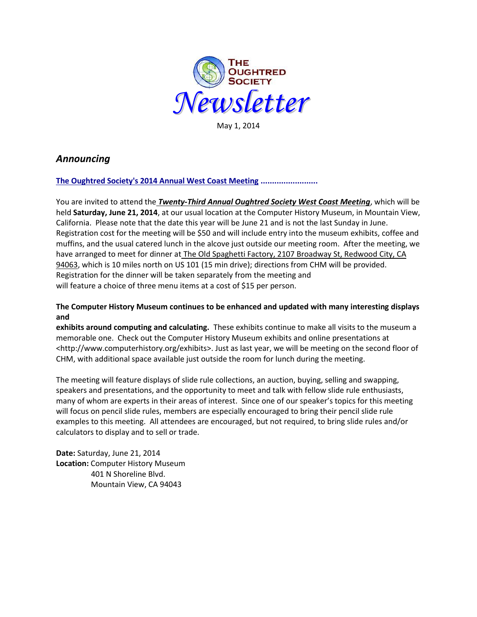

May 1, 2014

# *Announcing*

# **The Oughtred Society's 2014 Annual West Coast Meeting .........................**

You are invited to attend the *Twenty-Third Annual Oughtred Society West Coast Meeting*, which will be held **Saturday, June 21, 2014**, at our usual location at the Computer History Museum, in Mountain View, California. Please note that the date this year will be June 21 and is not the last Sunday in June. Registration cost for the meeting will be \$50 and will include entry into the museum exhibits, coffee and muffins, and the usual catered lunch in the alcove just outside our meeting room. After the meeting, we have arranged to meet for dinner at The Old Spaghetti Factory, 2107 Broadway St, Redwood City, CA 94063, which is 10 miles north on US 101 (15 min drive); directions from CHM will be provided. Registration for the dinner will be taken separately from the meeting and will feature a choice of three menu items at a cost of \$15 per person.

# **The Computer History Museum continues to be enhanced and updated with many interesting displays and**

**exhibits around computing and calculating.** These exhibits continue to make all visits to the museum a memorable one. Check out the Computer History Museum exhibits and online presentations at <http://www.computerhistory.org/exhibits>. Just as last year, we will be meeting on the second floor of CHM, with additional space available just outside the room for lunch during the meeting.

The meeting will feature displays of slide rule collections, an auction, buying, selling and swapping, speakers and presentations, and the opportunity to meet and talk with fellow slide rule enthusiasts, many of whom are experts in their areas of interest. Since one of our speaker's topics for this meeting will focus on pencil slide rules, members are especially encouraged to bring their pencil slide rule examples to this meeting. All attendees are encouraged, but not required, to bring slide rules and/or calculators to display and to sell or trade.

**Date:** Saturday, June 21, 2014 **Location:** Computer History Museum 401 N Shoreline Blvd. Mountain View, CA 94043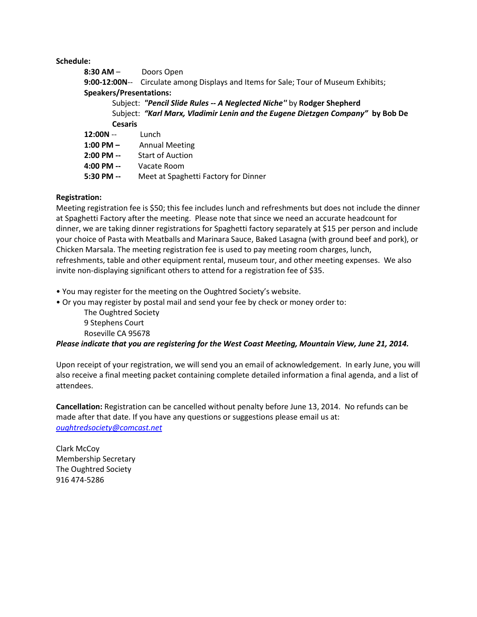**Schedule:**

| 8:30 AM -                                                                      | Doors Open                                                                          |
|--------------------------------------------------------------------------------|-------------------------------------------------------------------------------------|
|                                                                                | 9:00-12:00N-- Circulate among Displays and Items for Sale; Tour of Museum Exhibits; |
| <b>Speakers/Presentations:</b>                                                 |                                                                                     |
| Subject: "Pencil Slide Rules -- A Neglected Niche" by Rodger Shepherd          |                                                                                     |
| Subject: "Karl Marx, Vladimir Lenin and the Eugene Dietzgen Company" by Bob De |                                                                                     |
| <b>Cesaris</b>                                                                 |                                                                                     |
| $12:00N -$                                                                     | Lunch                                                                               |
| 1:00 PM -                                                                      | <b>Annual Meeting</b>                                                               |
| $2:00$ PM --                                                                   | <b>Start of Auction</b>                                                             |
| 4:00 PM --                                                                     | Vacate Room                                                                         |
| $5:30$ PM $-$                                                                  | Meet at Spaghetti Factory for Dinner                                                |

# **Registration:**

Meeting registration fee is \$50; this fee includes lunch and refreshments but does not include the dinner at Spaghetti Factory after the meeting. Please note that since we need an accurate headcount for dinner, we are taking dinner registrations for Spaghetti factory separately at \$15 per person and include your choice of Pasta with Meatballs and Marinara Sauce, Baked Lasagna (with ground beef and pork), or Chicken Marsala. The meeting registration fee is used to pay meeting room charges, lunch, refreshments, table and other equipment rental, museum tour, and other meeting expenses. We also invite non-displaying significant others to attend for a registration fee of \$35.

• You may register for the meeting on the Oughtred Society's website.

• Or you may register by postal mail and send your fee by check or money order to:

The Oughtred Society 9 Stephens Court Roseville CA 95678

# *Please indicate that you are registering for the West Coast Meeting, Mountain View, June 21, 2014.*

Upon receipt of your registration, we will send you an email of acknowledgement. In early June, you will also receive a final meeting packet containing complete detailed information a final agenda, and a list of attendees.

**Cancellation:** Registration can be cancelled without penalty before June 13, 2014. No refunds can be made after that date. If you have any questions or suggestions please email us at: *[oughtredsociety@comcast.net](mailto:oughtredsociety@comcast.net)*

Clark McCoy Membership Secretary The Oughtred Society 916 474-5286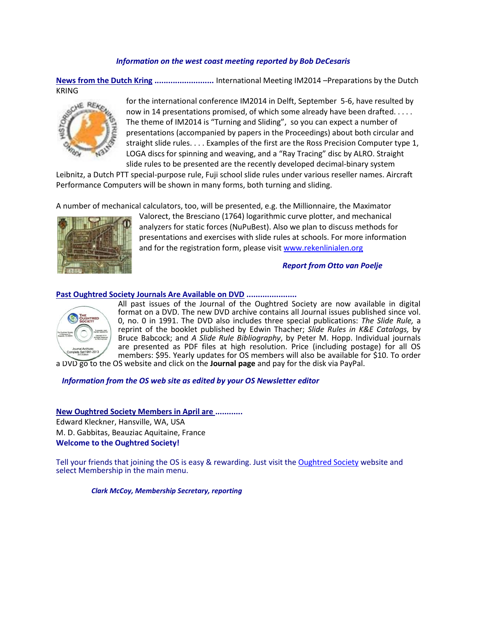## *Information on the west coast meeting reported by Bob DeCesaris*

**News from the Dutch Kring ..........................** International Meeting IM2014 –Preparations by the Dutch KRING



for the international conference IM2014 in Delft, September 5-6, have resulted by now in 14 presentations promised, of which some already have been drafted. . . . . The theme of IM2014 is "Turning and Sliding", so you can expect a number of presentations (accompanied by papers in the Proceedings) about both circular and straight slide rules. . . . Examples of the first are the Ross Precision Computer type 1, LOGA discs for spinning and weaving, and a "Ray Tracing" disc by ALRO. Straight slide rules to be presented are the recently developed decimal-binary system

Leibnitz, a Dutch PTT special-purpose rule, Fuji school slide rules under various reseller names. Aircraft Performance Computers will be shown in many forms, both turning and sliding.

A number of mechanical calculators, too, will be presented, e.g. the Millionnaire, the Maximator



Valorect, the Bresciano (1764) logarithmic curve plotter, and mechanical analyzers for static forces (NuPuBest). Also we plan to discuss methods for presentations and exercises with slide rules at schools. For more information and for the registration form, please visit [www.rekenlinialen.org](http://www.rekenlinialen.org/)

## *Report from Otto van Poelje*

#### **Past Oughtred Society Journals Are Available on DVD ......................**



All past issues of the Journal of the Oughtred Society are now available in digital format on a DVD. The new DVD archive contains all Journal issues published since vol. 0, no. 0 in 1991. The DVD also includes three special publications: *The Slide Rule,* a reprint of the booklet published by Edwin Thacher; *Slide Rules in K&E Catalogs,* by Bruce Babcock; and *A Slide Rule Bibliography*, by Peter M. Hopp. Individual journals are presented as PDF files at high resolution. Price (including postage) for all OS members: \$95. Yearly updates for OS members will also be available for \$10. To order a DVD go to the OS website and click on the **[Journal page](http://www.oughtred.org/journal.shtml#dvd)** and pay for the disk via PayPal.

*Information from the OS web site as edited by your OS Newsletter editor*

**New Oughtred Society Members in April are ............**

Edward Kleckner, Hansville, WA, USA M. D. Gabbitas, Beauziac Aquitaine, France **Welcome to the Oughtred Society!** 

Tell your friends that joining the OS is easy & rewarding. Just visit the [Oughtred Society](http://www.oughtred.org/) website and select Membership in the main menu.

 *Clark McCoy, Membership Secretary, reporting*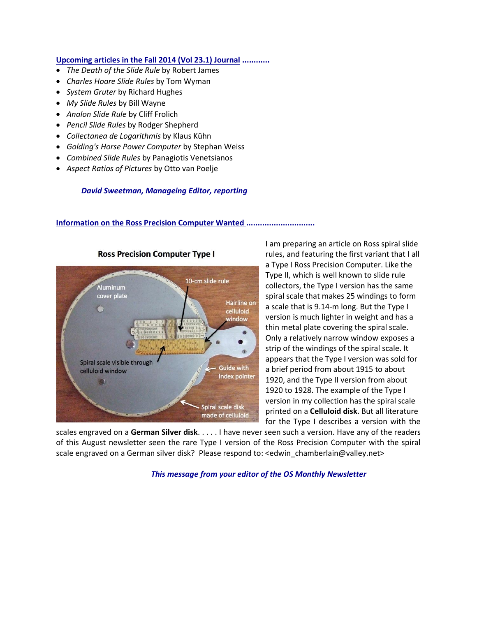#### **Upcoming articles in the Fall 2014 (Vol 23.1) Journal ............**

- *The Death of the Slide Rule* by Robert James
- *Charles Hoare Slide Rules* by Tom Wyman
- *System Gruter* by Richard Hughes
- *My Slide Rules* by Bill Wayne
- *Analon Slide Rule* by Cliff Frolich
- *Pencil Slide Rules* by Rodger Shepherd
- *Collectanea de Logarithmis* by Klaus Kühn
- *Golding's Horse Power Computer* by Stephan Weiss
- *Combined Slide Rules* by Panagiotis Venetsianos
- *Aspect Ratios of Pictures* by Otto van Poelje

## *David Sweetman, Manageing Editor, reporting*

## **Information on the Ross Precision Computer Wanted ..............................**



**Ross Precision Computer Type I** 

I am preparing an article on Ross spiral slide rules, and featuring the first variant that I all a Type I Ross Precision Computer. Like the Type II, which is well known to slide rule collectors, the Type I version has the same spiral scale that makes 25 windings to form a scale that is 9.14-m long. But the Type I version is much lighter in weight and has a thin metal plate covering the spiral scale. Only a relatively narrow window exposes a strip of the windings of the spiral scale. It appears that the Type I version was sold for a brief period from about 1915 to about 1920, and the Type II version from about 1920 to 1928. The example of the Type I version in my collection has the spiral scale printed on a **Celluloid disk**. But all literature for the Type I describes a version with the

scales engraved on a **German Silver disk**. . . . . I have never seen such a version. Have any of the readers of this August newsletter seen the rare Type I version of the Ross Precision Computer with the spiral scale engraved on a German silver disk? Please respond to: <edwin\_chamberlain@valley.net>

*This message from your editor of the OS Monthly Newsletter*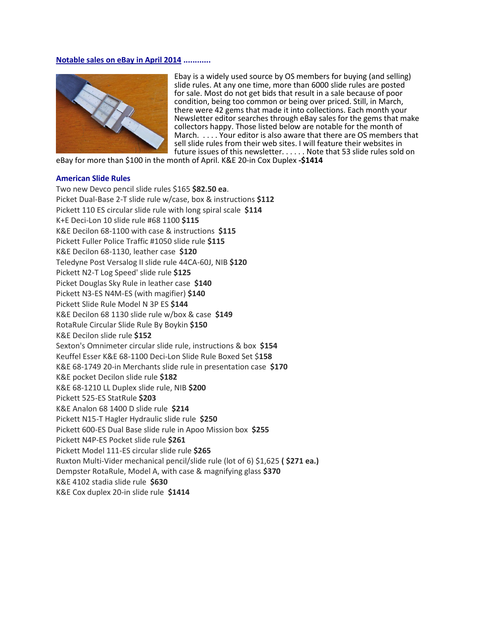#### **Notable sales on eBay in April 2014 ............**



Ebay is a widely used source by OS members for buying (and selling) slide rules. At any one time, more than 6000 slide rules are posted for sale. Most do not get bids that result in a sale because of poor condition, being too common or being over priced. Still, in March, there were 42 gems that made it into collections. Each month your Newsletter editor searches through eBay sales for the gems that make collectors happy. Those listed below are notable for the month of March. . . . . Your editor is also aware that there are OS members that sell slide rules from their web sites. I will feature their websites in future issues of this newsletter. . . . . . Note that 53 slide rules sold on

eBay for more than \$100 in the month of April. K&E 20-in Cox Duplex **-\$1414**

#### **American Slide Rules**

Two new Devco pencil slide rules \$165 **\$82.50 ea**. Picket Dual-Base 2-T slide rule w/case, box & instructions **\$112** Pickett 110 ES circular slide rule with long spiral scale **\$114** K+E Deci-Lon 10 slide rule #68 1100 **\$115** K&E Decilon 68-1100 with case & instructions **\$115** Pickett Fuller Police Traffic #1050 slide rule **\$115** K&E Decilon 68-1130, leather case **\$120** Teledyne Post Versalog II slide rule 44CA-60J, NIB **\$120** Pickett N2-T Log Speed' slide rule **\$125** Picket Douglas Sky Rule in leather case **\$140** Pickett N3-ES N4M-ES (with magifier) **\$140** Pickett Slide Rule Model N 3P ES **\$144** K&E Decilon 68 1130 slide rule w/box & case **\$149** RotaRule Circular Slide Rule By Boykin **\$150** K&E Decilon slide rule **\$152** Sexton's Omnimeter circular slide rule, instructions & box **\$154** Keuffel Esser K&E 68-1100 Deci-Lon Slide Rule Boxed Set \$**158** K&E 68-1749 20-in Merchants slide rule in presentation case **\$170** K&E pocket Decilon slide rule **\$182** K&E 68-1210 LL Duplex slide rule, NIB **\$200** Pickett 525-ES StatRule **\$203** K&E Analon 68 1400 D slide rule **\$214** Pickett N15-T Hagler Hydraulic slide rule **\$250** Pickett 600-ES Dual Base slide rule in Apoo Mission box **\$255** Pickett N4P-ES Pocket slide rule **\$261** Pickett Model 111-ES circular slide rule **\$265** Ruxton Multi-Vider mechanical pencil/slide rule (lot of 6) \$1,625 **( \$271 ea.)** Dempster RotaRule, Model A, with case & magnifying glass **\$370** K&E 4102 stadia slide rule **\$630** K&E Cox duplex 20-in slide rule **\$1414**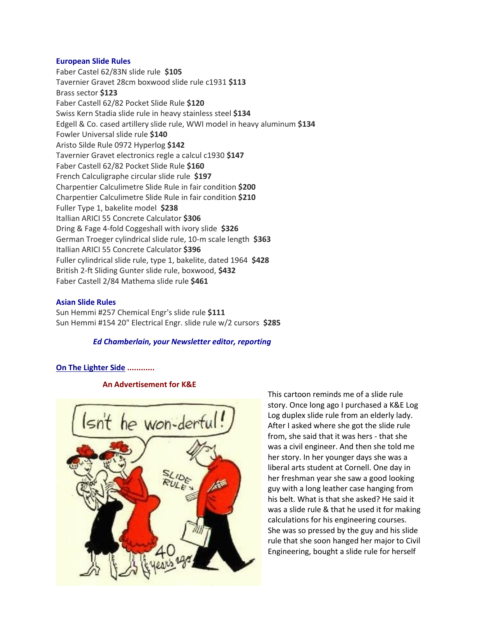#### **European Slide Rules**

Faber Castel 62/83N slide rule **\$105** Tavernier Gravet 28cm boxwood slide rule c1931 **\$113** Brass sector **\$123** Faber Castell 62/82 Pocket Slide Rule **\$120** Swiss Kern Stadia slide rule in heavy stainless steel **\$134** Edgell & Co. cased artillery slide rule, WWI model in heavy aluminum **\$134** Fowler Universal slide rule **\$140** Aristo Silde Rule 0972 Hyperlog **\$142**  Tavernier Gravet electronics regle a calcul c1930 **\$147** Faber Castell 62/82 Pocket Slide Rule **\$160** French Calculigraphe circular slide rule **\$197** Charpentier Calculimetre Slide Rule in fair condition **\$200** Charpentier Calculimetre Slide Rule in fair condition **\$210** Fuller Type 1, bakelite model **\$238** Itallian ARICI 55 Concrete Calculator **\$306** Dring & Fage 4-fold Coggeshall with ivory slide **\$326** German Troeger cylindrical slide rule, 10-m scale length **\$363** Itallian ARICI 55 Concrete Calculator **\$396** Fuller cylindrical slide rule, type 1, bakelite, dated 1964 **\$428** British 2-ft Sliding Gunter slide rule, boxwood, **\$432** Faber Castell 2/84 Mathema slide rule **\$461**

## **Asian Slide Rules**

Sun Hemmi #257 Chemical Engr's slide rule **\$111** Sun Hemmi #154 20" Electrical Engr. slide rule w/2 cursors **\$285**

#### *Ed Chamberlain, your Newsletter editor, reporting*

#### **On The Lighter Side ............**

#### **An Advertisement for K&E**



This cartoon reminds me of a slide rule story. Once long ago I purchased a K&E Log Log duplex slide rule from an elderly lady. After I asked where she got the slide rule from, she said that it was hers - that she was a civil engineer. And then she told me her story. In her younger days she was a liberal arts student at Cornell. One day in her freshman year she saw a good looking guy with a long leather case hanging from his belt. What is that she asked? He said it was a slide rule & that he used it for making calculations for his engineering courses. She was so pressed by the guy and his slide rule that she soon hanged her major to Civil Engineering, bought a slide rule for herself